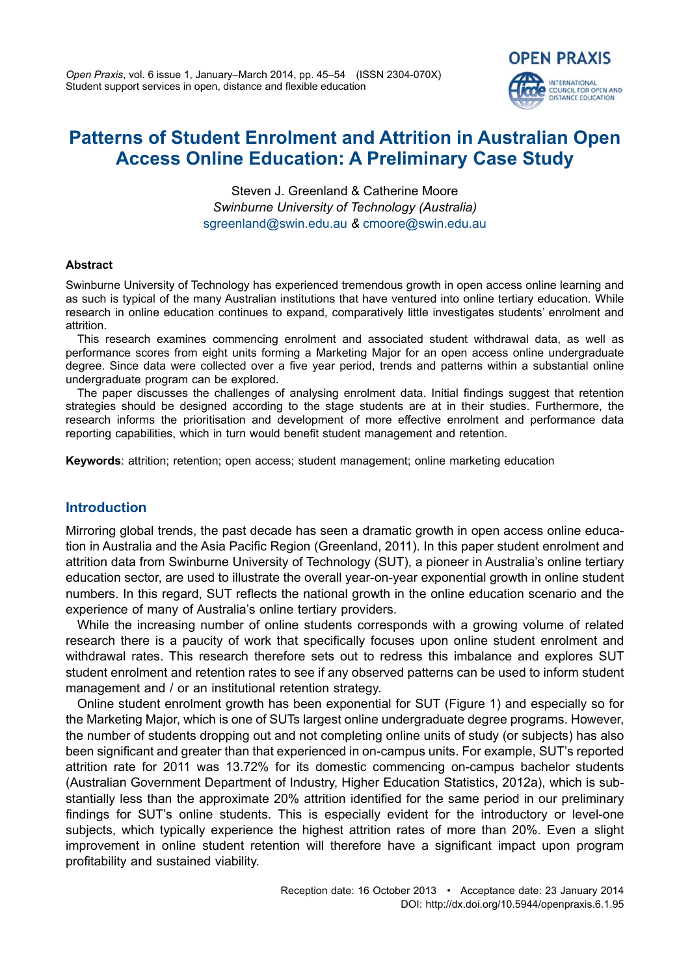*Open Praxis*, vol. 6 issue 1, January–March 2014, pp. 45–54 (ISSN 2304-070X) Student support services in open, distance and flexible education

# **Patterns of Student Enrolment and Attrition in Australian Open Access Online Education: A Preliminary Case Study**

**OPEN PRAXIS** 

**INTERNATIONAL** COUNCIL FOR OPEN AND<br>DISTANCE EDUCATION

Steven J. Greenland & Catherine Moore *Swinburne University of Technology (Australia)* [sgreenland@swin.edu.au](mailto:sgreenland@swin.edu.au) *&* [cmoore@swin.edu.au](mailto:cmoore@swin.edu.au)

#### **Abstract**

Swinburne University of Technology has experienced tremendous growth in open access online learning and as such is typical of the many Australian institutions that have ventured into online tertiary education. While research in online education continues to expand, comparatively little investigates students' enrolment and attrition.

This research examines commencing enrolment and associated student withdrawal data, as well as performance scores from eight units forming a Marketing Major for an open access online undergraduate degree. Since data were collected over a five year period, trends and patterns within a substantial online undergraduate program can be explored.

The paper discusses the challenges of analysing enrolment data. Initial findings suggest that retention strategies should be designed according to the stage students are at in their studies. Furthermore, the research informs the prioritisation and development of more effective enrolment and performance data reporting capabilities, which in turn would benefit student management and retention.

**Keywords**: attrition; retention; open access; student management; online marketing education

#### **Introduction**

Mirroring global trends, the past decade has seen a dramatic growth in open access online education in Australia and the Asia Pacific Region (Greenland, 2011). In this paper student enrolment and attrition data from Swinburne University of Technology (SUT), a pioneer in Australia's online tertiary education sector, are used to illustrate the overall year-on-year exponential growth in online student numbers. In this regard, SUT reflects the national growth in the online education scenario and the experience of many of Australia's online tertiary providers.

While the increasing number of online students corresponds with a growing volume of related research there is a paucity of work that specifically focuses upon online student enrolment and withdrawal rates. This research therefore sets out to redress this imbalance and explores SUT student enrolment and retention rates to see if any observed patterns can be used to inform student management and / or an institutional retention strategy.

Online student enrolment growth has been exponential for SUT (Figure 1) and especially so for the Marketing Major, which is one of SUTs largest online undergraduate degree programs. However, the number of students dropping out and not completing online units of study (or subjects) has also been significant and greater than that experienced in on-campus units. For example, SUT's reported attrition rate for 2011 was 13.72% for its domestic commencing on-campus bachelor students (Australian Government Department of Industry, Higher Education Statistics, 2012a), which is substantially less than the approximate 20% attrition identified for the same period in our preliminary findings for SUT's online students. This is especially evident for the introductory or level-one subjects, which typically experience the highest attrition rates of more than 20%. Even a slight improvement in online student retention will therefore have a significant impact upon program profitability and sustained viability.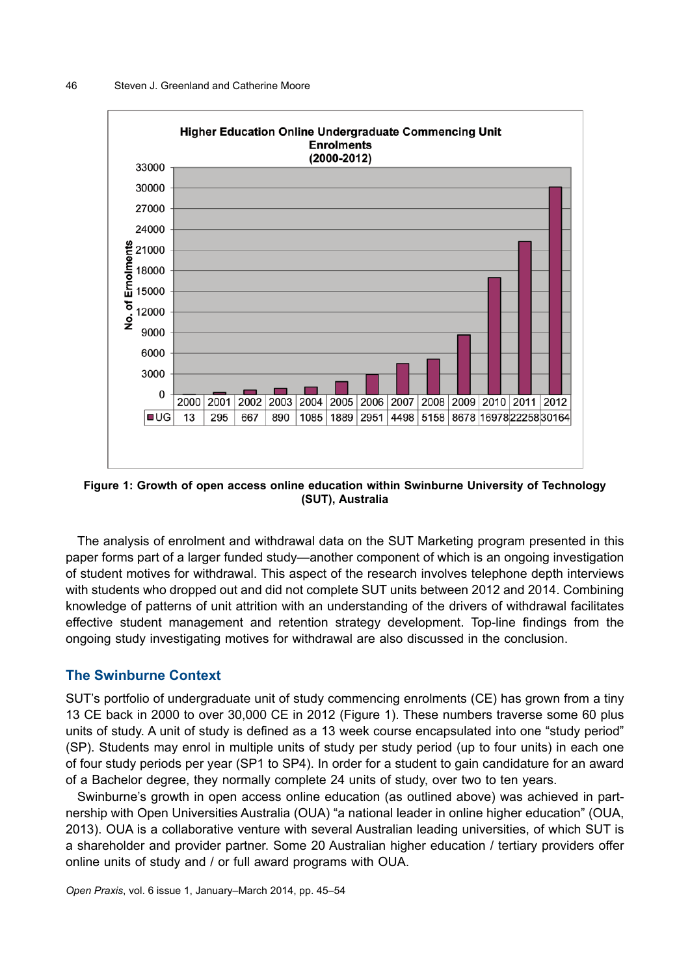

**Figure 1: Growth of open access online education within Swinburne University of Technology (SUT), Australia**

The analysis of enrolment and withdrawal data on the SUT Marketing program presented in this paper forms part of a larger funded study—another component of which is an ongoing investigation of student motives for withdrawal. This aspect of the research involves telephone depth interviews with students who dropped out and did not complete SUT units between 2012 and 2014. Combining knowledge of patterns of unit attrition with an understanding of the drivers of withdrawal facilitates effective student management and retention strategy development. Top-line findings from the ongoing study investigating motives for withdrawal are also discussed in the conclusion.

#### **The Swinburne Context**

SUT's portfolio of undergraduate unit of study commencing enrolments (CE) has grown from a tiny 13 CE back in 2000 to over 30,000 CE in 2012 (Figure 1). These numbers traverse some 60 plus units of study. A unit of study is defined as a 13 week course encapsulated into one "study period" (SP). Students may enrol in multiple units of study per study period (up to four units) in each one of four study periods per year (SP1 to SP4). In order for a student to gain candidature for an award of a Bachelor degree, they normally complete 24 units of study, over two to ten years.

Swinburne's growth in open access online education (as outlined above) was achieved in partnership with Open Universities Australia (OUA) "a national leader in online higher education" (OUA, 2013). OUA is a collaborative venture with several Australian leading universities, of which SUT is a shareholder and provider partner. Some 20 Australian higher education / tertiary providers offer online units of study and / or full award programs with OUA.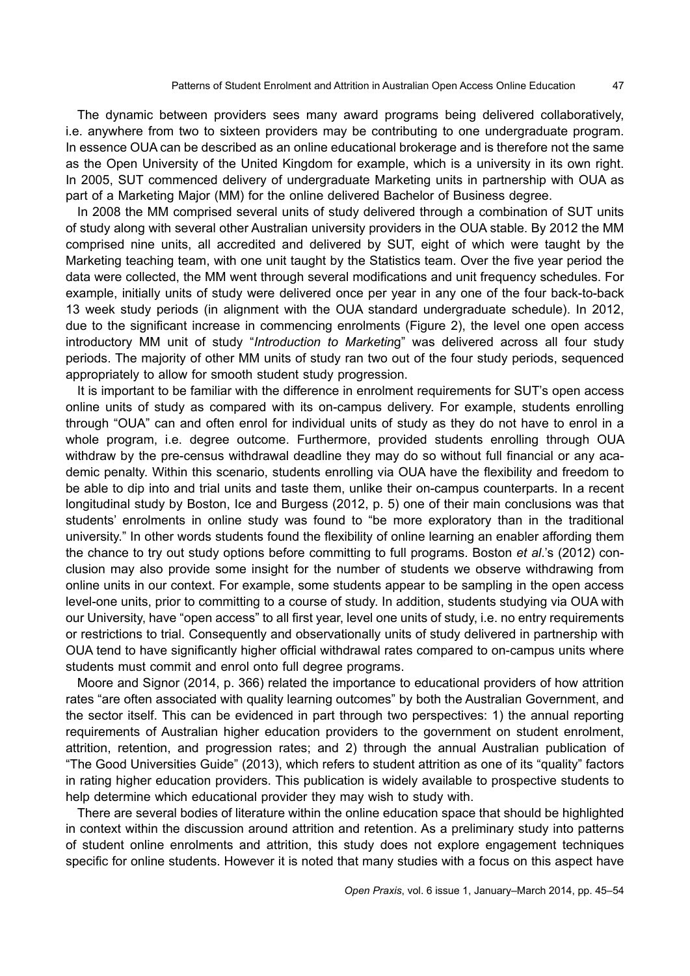The dynamic between providers sees many award programs being delivered collaboratively, i.e. anywhere from two to sixteen providers may be contributing to one undergraduate program. In essence OUA can be described as an online educational brokerage and is therefore not the same as the Open University of the United Kingdom for example, which is a university in its own right. In 2005, SUT commenced delivery of undergraduate Marketing units in partnership with OUA as part of a Marketing Major (MM) for the online delivered Bachelor of Business degree.

In 2008 the MM comprised several units of study delivered through a combination of SUT units of study along with several other Australian university providers in the OUA stable. By 2012 the MM comprised nine units, all accredited and delivered by SUT, eight of which were taught by the Marketing teaching team, with one unit taught by the Statistics team. Over the five year period the data were collected, the MM went through several modifications and unit frequency schedules. For example, initially units of study were delivered once per year in any one of the four back-to-back 13 week study periods (in alignment with the OUA standard undergraduate schedule). In 2012, due to the significant increase in commencing enrolments (Figure 2), the level one open access introductory MM unit of study "*Introduction to Marketin*g" was delivered across all four study periods. The majority of other MM units of study ran two out of the four study periods, sequenced appropriately to allow for smooth student study progression.

It is important to be familiar with the difference in enrolment requirements for SUT's open access online units of study as compared with its on-campus delivery. For example, students enrolling through "OUA" can and often enrol for individual units of study as they do not have to enrol in a whole program, i.e. degree outcome. Furthermore, provided students enrolling through OUA withdraw by the pre-census withdrawal deadline they may do so without full financial or any academic penalty. Within this scenario, students enrolling via OUA have the flexibility and freedom to be able to dip into and trial units and taste them, unlike their on-campus counterparts. In a recent longitudinal study by Boston, Ice and Burgess (2012, p. 5) one of their main conclusions was that students' enrolments in online study was found to "be more exploratory than in the traditional university." In other words students found the flexibility of online learning an enabler affording them the chance to try out study options before committing to full programs. Boston *et al*.'s (2012) conclusion may also provide some insight for the number of students we observe withdrawing from online units in our context. For example, some students appear to be sampling in the open access level-one units, prior to committing to a course of study. In addition, students studying via OUA with our University, have "open access" to all first year, level one units of study, i.e. no entry requirements or restrictions to trial. Consequently and observationally units of study delivered in partnership with OUA tend to have significantly higher official withdrawal rates compared to on-campus units where students must commit and enrol onto full degree programs.

Moore and Signor (2014, p. 366) related the importance to educational providers of how attrition rates "are often associated with quality learning outcomes" by both the Australian Government, and the sector itself. This can be evidenced in part through two perspectives: 1) the annual reporting requirements of Australian higher education providers to the government on student enrolment, attrition, retention, and progression rates; and 2) through the annual Australian publication of "The Good Universities Guide" (2013), which refers to student attrition as one of its "quality" factors in rating higher education providers. This publication is widely available to prospective students to help determine which educational provider they may wish to study with.

There are several bodies of literature within the online education space that should be highlighted in context within the discussion around attrition and retention. As a preliminary study into patterns of student online enrolments and attrition, this study does not explore engagement techniques specific for online students. However it is noted that many studies with a focus on this aspect have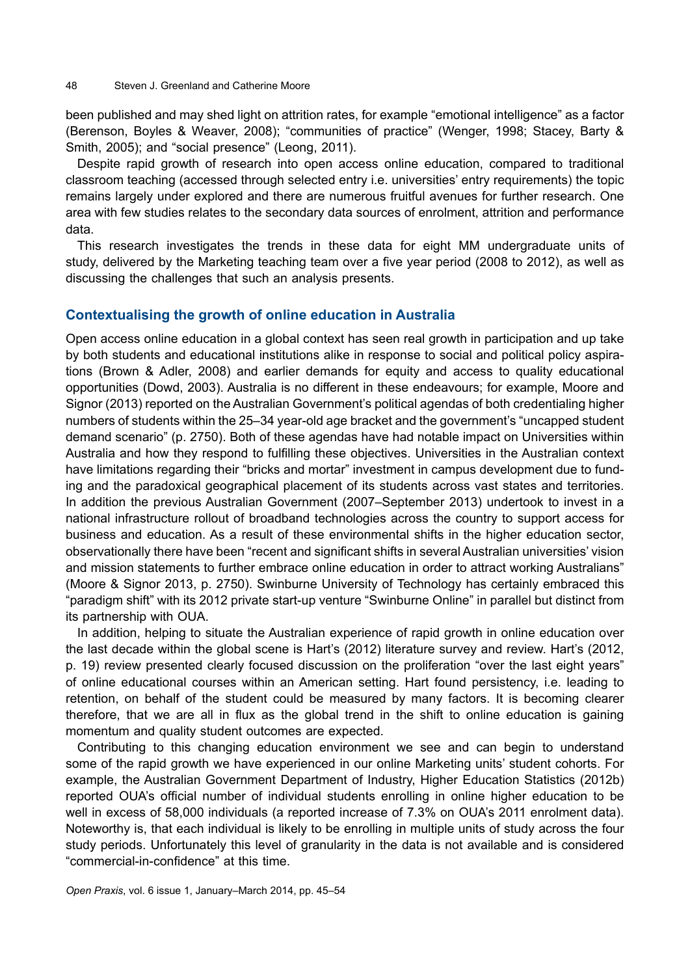been published and may shed light on attrition rates, for example "emotional intelligence" as a factor (Berenson, Boyles & Weaver, 2008); "communities of practice" (Wenger, 1998; Stacey, Barty & Smith, 2005); and "social presence" (Leong, 2011).

Despite rapid growth of research into open access online education, compared to traditional classroom teaching (accessed through selected entry i.e. universities' entry requirements) the topic remains largely under explored and there are numerous fruitful avenues for further research. One area with few studies relates to the secondary data sources of enrolment, attrition and performance data.

This research investigates the trends in these data for eight MM undergraduate units of study, delivered by the Marketing teaching team over a five year period (2008 to 2012), as well as discussing the challenges that such an analysis presents.

# **Contextualising the growth of online education in Australia**

Open access online education in a global context has seen real growth in participation and up take by both students and educational institutions alike in response to social and political policy aspirations (Brown & Adler, 2008) and earlier demands for equity and access to quality educational opportunities (Dowd, 2003). Australia is no different in these endeavours; for example, Moore and Signor (2013) reported on the Australian Government's political agendas of both credentialing higher numbers of students within the 25–34 year-old age bracket and the government's "uncapped student demand scenario" (p. 2750). Both of these agendas have had notable impact on Universities within Australia and how they respond to fulfilling these objectives. Universities in the Australian context have limitations regarding their "bricks and mortar" investment in campus development due to funding and the paradoxical geographical placement of its students across vast states and territories. In addition the previous Australian Government (2007–September 2013) undertook to invest in a national infrastructure rollout of broadband technologies across the country to support access for business and education. As a result of these environmental shifts in the higher education sector, observationally there have been "recent and significant shifts in several Australian universities' vision and mission statements to further embrace online education in order to attract working Australians" (Moore & Signor 2013, p. 2750). Swinburne University of Technology has certainly embraced this "paradigm shift" with its 2012 private start-up venture "Swinburne Online" in parallel but distinct from its partnership with OUA.

In addition, helping to situate the Australian experience of rapid growth in online education over the last decade within the global scene is Hart's (2012) literature survey and review. Hart's (2012, p. 19) review presented clearly focused discussion on the proliferation "over the last eight years" of online educational courses within an American setting. Hart found persistency, i.e. leading to retention, on behalf of the student could be measured by many factors. It is becoming clearer therefore, that we are all in flux as the global trend in the shift to online education is gaining momentum and quality student outcomes are expected.

Contributing to this changing education environment we see and can begin to understand some of the rapid growth we have experienced in our online Marketing units' student cohorts. For example, the Australian Government Department of Industry, Higher Education Statistics (2012b) reported OUA's official number of individual students enrolling in online higher education to be well in excess of 58,000 individuals (a reported increase of 7.3% on OUA's 2011 enrolment data). Noteworthy is, that each individual is likely to be enrolling in multiple units of study across the four study periods. Unfortunately this level of granularity in the data is not available and is considered "commercial-in-confidence" at this time.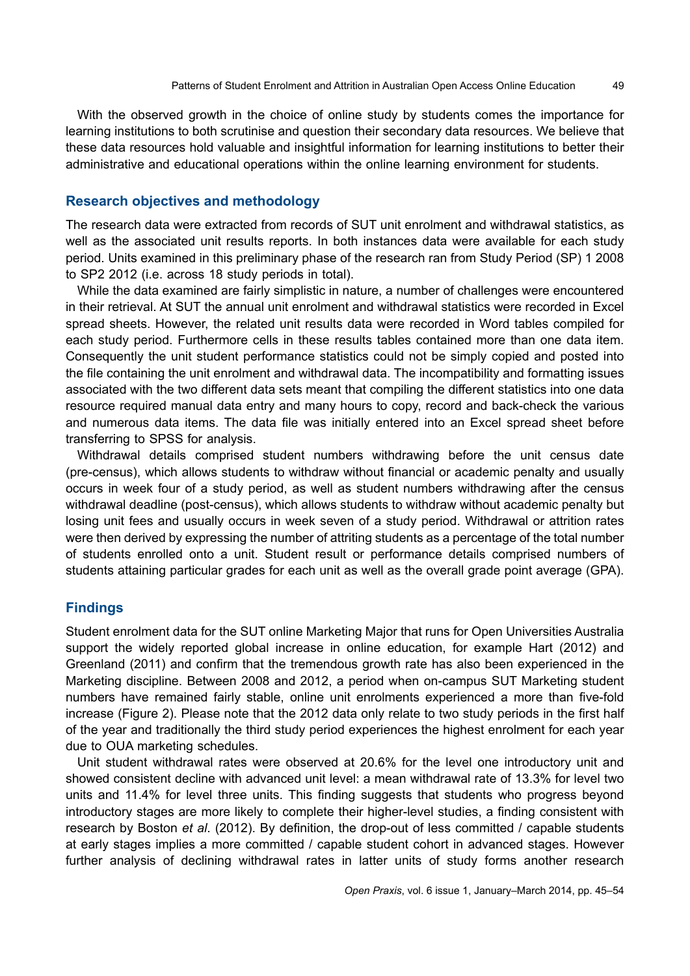With the observed growth in the choice of online study by students comes the importance for learning institutions to both scrutinise and question their secondary data resources. We believe that these data resources hold valuable and insightful information for learning institutions to better their administrative and educational operations within the online learning environment for students.

### **Research objectives and methodology**

The research data were extracted from records of SUT unit enrolment and withdrawal statistics, as well as the associated unit results reports. In both instances data were available for each study period. Units examined in this preliminary phase of the research ran from Study Period (SP) 1 2008 to SP2 2012 (i.e. across 18 study periods in total).

While the data examined are fairly simplistic in nature, a number of challenges were encountered in their retrieval. At SUT the annual unit enrolment and withdrawal statistics were recorded in Excel spread sheets. However, the related unit results data were recorded in Word tables compiled for each study period. Furthermore cells in these results tables contained more than one data item. Consequently the unit student performance statistics could not be simply copied and posted into the file containing the unit enrolment and withdrawal data. The incompatibility and formatting issues associated with the two different data sets meant that compiling the different statistics into one data resource required manual data entry and many hours to copy, record and back-check the various and numerous data items. The data file was initially entered into an Excel spread sheet before transferring to SPSS for analysis.

Withdrawal details comprised student numbers withdrawing before the unit census date (pre-census), which allows students to withdraw without financial or academic penalty and usually occurs in week four of a study period, as well as student numbers withdrawing after the census withdrawal deadline (post-census), which allows students to withdraw without academic penalty but losing unit fees and usually occurs in week seven of a study period. Withdrawal or attrition rates were then derived by expressing the number of attriting students as a percentage of the total number of students enrolled onto a unit. Student result or performance details comprised numbers of students attaining particular grades for each unit as well as the overall grade point average (GPA).

# **Findings**

Student enrolment data for the SUT online Marketing Major that runs for Open Universities Australia support the widely reported global increase in online education, for example Hart (2012) and Greenland (2011) and confirm that the tremendous growth rate has also been experienced in the Marketing discipline. Between 2008 and 2012, a period when on-campus SUT Marketing student numbers have remained fairly stable, online unit enrolments experienced a more than five-fold increase (Figure 2). Please note that the 2012 data only relate to two study periods in the first half of the year and traditionally the third study period experiences the highest enrolment for each year due to OUA marketing schedules.

Unit student withdrawal rates were observed at 20.6% for the level one introductory unit and showed consistent decline with advanced unit level: a mean withdrawal rate of 13.3% for level two units and 11.4% for level three units. This finding suggests that students who progress beyond introductory stages are more likely to complete their higher-level studies, a finding consistent with research by Boston *et al*. (2012). By definition, the drop-out of less committed / capable students at early stages implies a more committed / capable student cohort in advanced stages. However further analysis of declining withdrawal rates in latter units of study forms another research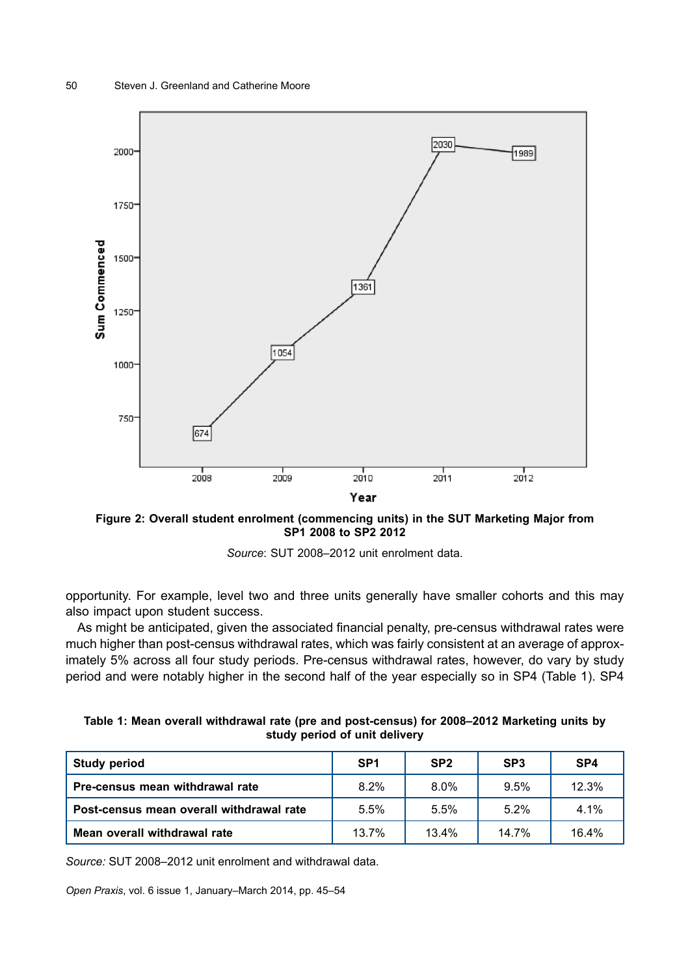

**Figure 2: Overall student enrolment (commencing units) in the SUT Marketing Major from SP1 2008 to SP2 2012**



opportunity. For example, level two and three units generally have smaller cohorts and this may also impact upon student success.

As might be anticipated, given the associated financial penalty, pre-census withdrawal rates were much higher than post-census withdrawal rates, which was fairly consistent at an average of approximately 5% across all four study periods. Pre-census withdrawal rates, however, do vary by study period and were notably higher in the second half of the year especially so in SP4 (Table 1). SP4

|                               |  |  |  |  |  | Table 1: Mean overall withdrawal rate (pre and post-census) for 2008–2012 Marketing units by |  |  |  |  |
|-------------------------------|--|--|--|--|--|----------------------------------------------------------------------------------------------|--|--|--|--|
| study period of unit delivery |  |  |  |  |  |                                                                                              |  |  |  |  |

| <b>Study period</b>                      | SP <sub>1</sub> | SP <sub>2</sub> | SP <sub>3</sub> | SP <sub>4</sub> |
|------------------------------------------|-----------------|-----------------|-----------------|-----------------|
| <b>Pre-census mean withdrawal rate</b>   | 8.2%            | $8.0\%$         | 9.5%            | 12.3%           |
| Post-census mean overall withdrawal rate | 5.5%            | 5.5%            | 5.2%            | $4.1\%$         |
| Mean overall withdrawal rate             | 13.7%           | 13.4%           | 14.7%           | 16.4%           |

*Source:* SUT 2008–2012 unit enrolment and withdrawal data.

*Open Praxis*, vol. 6 issue 1, January–March 2014, pp. 45–54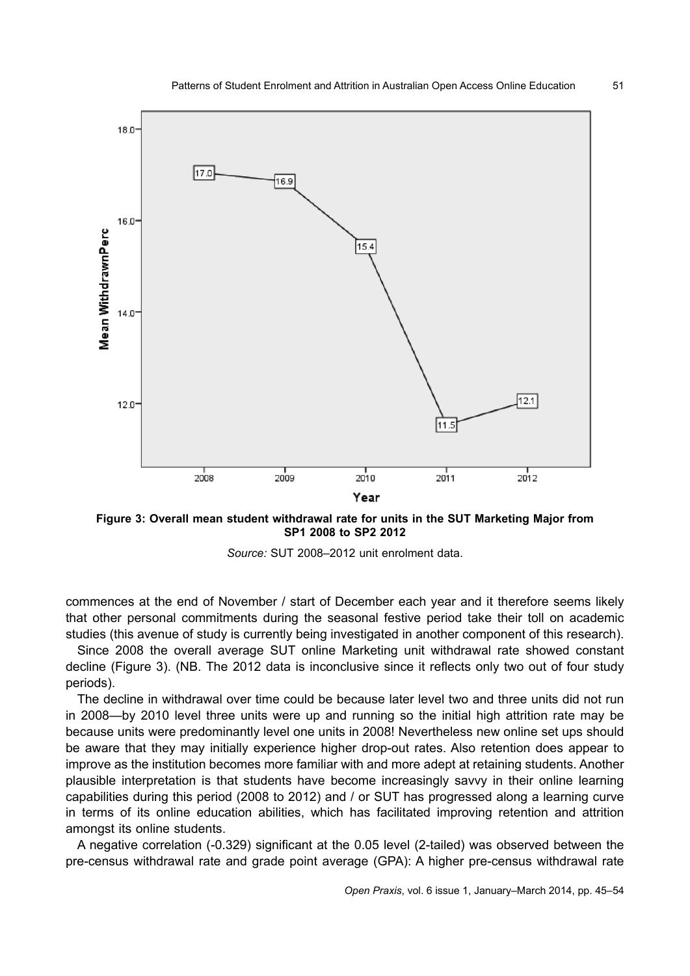

**Figure 3: Overall mean student withdrawal rate for units in the SUT Marketing Major from SP1 2008 to SP2 2012**



commences at the end of November / start of December each year and it therefore seems likely that other personal commitments during the seasonal festive period take their toll on academic studies (this avenue of study is currently being investigated in another component of this research).

Since 2008 the overall average SUT online Marketing unit withdrawal rate showed constant decline (Figure 3). (NB. The 2012 data is inconclusive since it reflects only two out of four study periods).

The decline in withdrawal over time could be because later level two and three units did not run in 2008—by 2010 level three units were up and running so the initial high attrition rate may be because units were predominantly level one units in 2008! Nevertheless new online set ups should be aware that they may initially experience higher drop-out rates. Also retention does appear to improve as the institution becomes more familiar with and more adept at retaining students. Another plausible interpretation is that students have become increasingly savvy in their online learning capabilities during this period (2008 to 2012) and / or SUT has progressed along a learning curve in terms of its online education abilities, which has facilitated improving retention and attrition amongst its online students.

A negative correlation (-0.329) significant at the 0.05 level (2-tailed) was observed between the pre-census withdrawal rate and grade point average (GPA): A higher pre-census withdrawal rate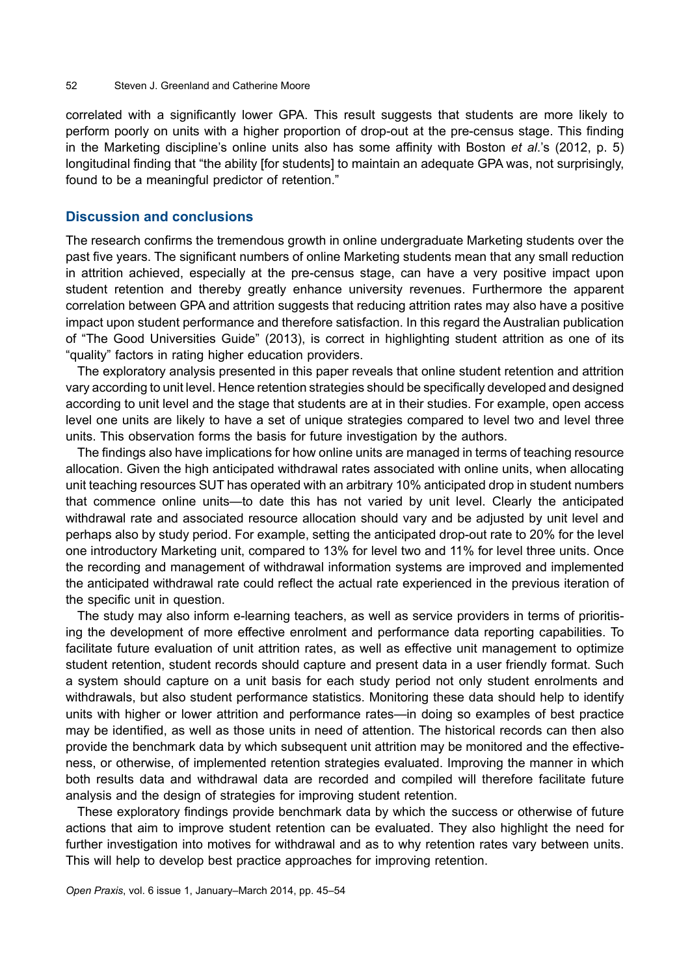#### 52 Steven J. Greenland and Catherine Moore

correlated with a significantly lower GPA. This result suggests that students are more likely to perform poorly on units with a higher proportion of drop-out at the pre-census stage. This finding in the Marketing discipline's online units also has some affinity with Boston *et al*.'s (2012, p. 5) longitudinal finding that "the ability [for students] to maintain an adequate GPA was, not surprisingly, found to be a meaningful predictor of retention."

#### **Discussion and conclusions**

The research confirms the tremendous growth in online undergraduate Marketing students over the past five years. The significant numbers of online Marketing students mean that any small reduction in attrition achieved, especially at the pre-census stage, can have a very positive impact upon student retention and thereby greatly enhance university revenues. Furthermore the apparent correlation between GPA and attrition suggests that reducing attrition rates may also have a positive impact upon student performance and therefore satisfaction. In this regard the Australian publication of "The Good Universities Guide" (2013), is correct in highlighting student attrition as one of its "quality" factors in rating higher education providers.

The exploratory analysis presented in this paper reveals that online student retention and attrition vary according to unit level. Hence retention strategies should be specifically developed and designed according to unit level and the stage that students are at in their studies. For example, open access level one units are likely to have a set of unique strategies compared to level two and level three units. This observation forms the basis for future investigation by the authors.

The findings also have implications for how online units are managed in terms of teaching resource allocation. Given the high anticipated withdrawal rates associated with online units, when allocating unit teaching resources SUT has operated with an arbitrary 10% anticipated drop in student numbers that commence online units—to date this has not varied by unit level. Clearly the anticipated withdrawal rate and associated resource allocation should vary and be adjusted by unit level and perhaps also by study period. For example, setting the anticipated drop-out rate to 20% for the level one introductory Marketing unit, compared to 13% for level two and 11% for level three units. Once the recording and management of withdrawal information systems are improved and implemented the anticipated withdrawal rate could reflect the actual rate experienced in the previous iteration of the specific unit in question.

The study may also inform e-learning teachers, as well as service providers in terms of prioritising the development of more effective enrolment and performance data reporting capabilities. To facilitate future evaluation of unit attrition rates, as well as effective unit management to optimize student retention, student records should capture and present data in a user friendly format. Such a system should capture on a unit basis for each study period not only student enrolments and withdrawals, but also student performance statistics. Monitoring these data should help to identify units with higher or lower attrition and performance rates—in doing so examples of best practice may be identified, as well as those units in need of attention. The historical records can then also provide the benchmark data by which subsequent unit attrition may be monitored and the effectiveness, or otherwise, of implemented retention strategies evaluated. Improving the manner in which both results data and withdrawal data are recorded and compiled will therefore facilitate future analysis and the design of strategies for improving student retention.

These exploratory findings provide benchmark data by which the success or otherwise of future actions that aim to improve student retention can be evaluated. They also highlight the need for further investigation into motives for withdrawal and as to why retention rates vary between units. This will help to develop best practice approaches for improving retention.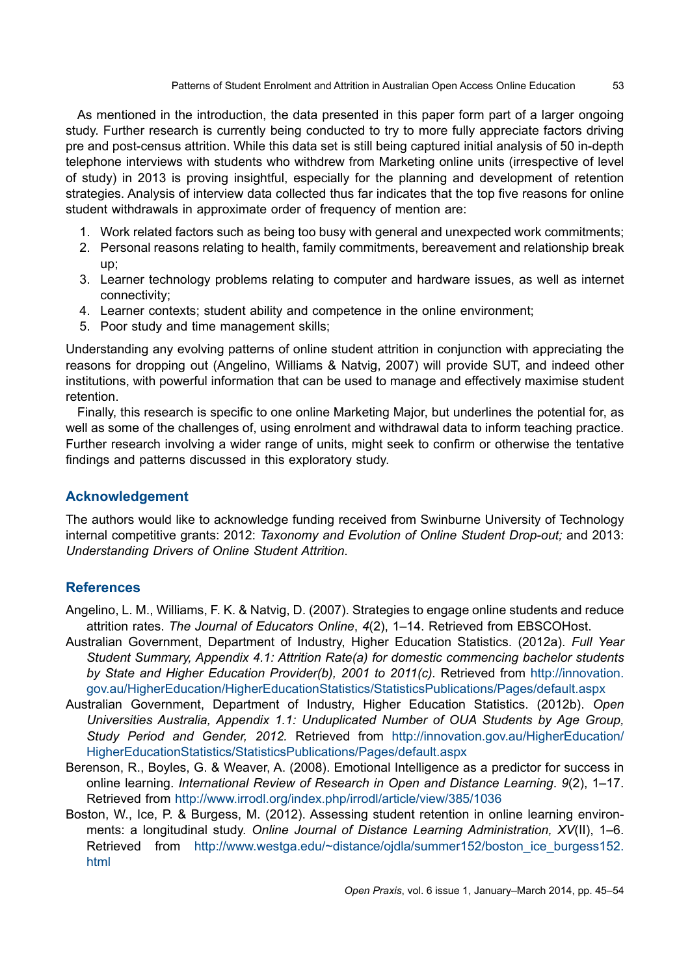As mentioned in the introduction, the data presented in this paper form part of a larger ongoing study. Further research is currently being conducted to try to more fully appreciate factors driving pre and post-census attrition. While this data set is still being captured initial analysis of 50 in-depth telephone interviews with students who withdrew from Marketing online units (irrespective of level of study) in 2013 is proving insightful, especially for the planning and development of retention strategies. Analysis of interview data collected thus far indicates that the top five reasons for online student withdrawals in approximate order of frequency of mention are:

- 1. Work related factors such as being too busy with general and unexpected work commitments;
- 2. Personal reasons relating to health, family commitments, bereavement and relationship break up;
- 3. Learner technology problems relating to computer and hardware issues, as well as internet connectivity;
- 4. Learner contexts; student ability and competence in the online environment;
- 5. Poor study and time management skills;

Understanding any evolving patterns of online student attrition in conjunction with appreciating the reasons for dropping out (Angelino, Williams & Natvig, 2007) will provide SUT, and indeed other institutions, with powerful information that can be used to manage and effectively maximise student retention.

Finally, this research is specific to one online Marketing Major, but underlines the potential for, as well as some of the challenges of, using enrolment and withdrawal data to inform teaching practice. Further research involving a wider range of units, might seek to confirm or otherwise the tentative findings and patterns discussed in this exploratory study.

# **Acknowledgement**

The authors would like to acknowledge funding received from Swinburne University of Technology internal competitive grants: 2012: *Taxonomy and Evolution of Online Student Drop-out;* and 2013: *Understanding Drivers of Online Student Attrition*.

# **References**

- Angelino, L. M., Williams, F. K. & Natvig, D. (2007). Strategies to engage online students and reduce attrition rates. *The Journal of Educators Online*, *4*(2), 1–14. Retrieved from EBSCOHost.
- Australian Government, Department of Industry, Higher Education Statistics. (2012a). *Full Year Student Summary, Appendix 4.1: Attrition Rate(a) for domestic commencing bachelor students by State and Higher Education Provider(b), 2001 to 2011(c).* Retrieved from [http://innovation.](http://innovation.gov.au/HigherEducation/HigherEducationStatistics/StatisticsPublications/Pages/default.aspx) [gov.au/HigherEducation/HigherEducationStatistics/StatisticsPublications/Pages/default.aspx](http://innovation.gov.au/HigherEducation/HigherEducationStatistics/StatisticsPublications/Pages/default.aspx)
- Australian Government, Department of Industry, Higher Education Statistics. (2012b). *Open Universities Australia, Appendix 1.1: Unduplicated Number of OUA Students by Age Group, Study Period and Gender, 2012.* Retrieved from [http://innovation.gov.au/HigherEducation/](http://innovation.gov.au/HigherEducation/HigherEducationStatistics/StatisticsPublications/Pages/default.aspx) [HigherEducationStatistics/StatisticsPublications/Pages/default.aspx](http://innovation.gov.au/HigherEducation/HigherEducationStatistics/StatisticsPublications/Pages/default.aspx)
- Berenson, R., Boyles, G. & Weaver, A. (2008). Emotional Intelligence as a predictor for success in online learning. *International Review of Research in Open and Distance Learning*. *9*(2), 1–17. Retrieved from <http://www.irrodl.org/index.php/irrodl/article/view/385/1036>
- Boston, W., Ice, P. & Burgess, M. (2012). Assessing student retention in online learning environments: a longitudinal study. *Online Journal of Distance Learning Administration, XV*(II), 1–6. Retrieved from [http://www.westga.edu/~distance/ojdla/summer152/boston\\_ice\\_burgess152.](http://www.westga.edu/~distance/ojdla/summer152/boston_ice_burgess152.html) [html](http://www.westga.edu/~distance/ojdla/summer152/boston_ice_burgess152.html)